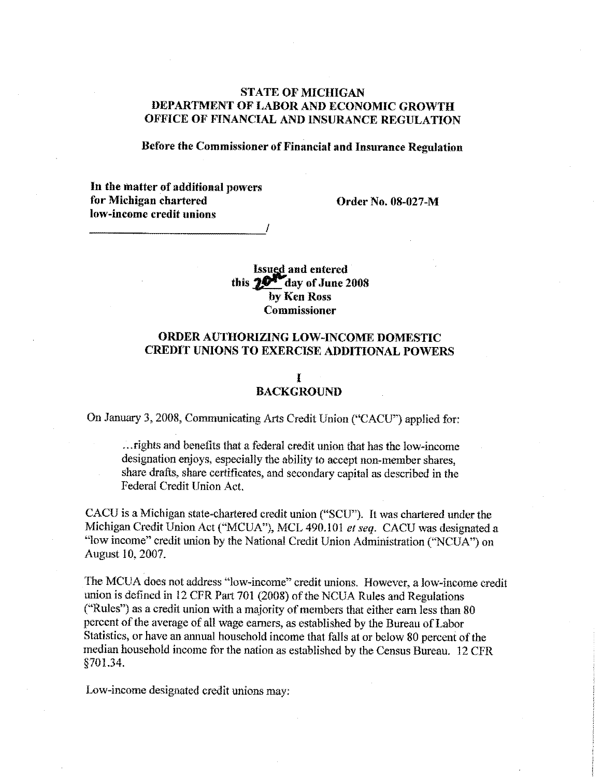# **STATE OF MICHIGAN** DEPARTMENT OF LABOR AND ECONOMIC GROWTH OFFICE OF FINANCIAL AND INSURANCE REGULATION

### Before the Commissioner of Financial and Insurance Regulation

In the matter of additional powers for Michigan chartered  $\qquad \qquad$  Order No. 08-027-M low-income credit unions

Issued and entered this  $20^{\circ}$  day of June 2008 by Ken Ross Commissioner

## ORDER AUTHORIZING LOW-INCOME DOMESTIC CREDIT UNIONS TO EXERCISE ADDITIONAL POWERS

### I BACKGROUND

On January 3, 2008, Communicating Arts Credit Union ("CACU") applied for:

...rights and benefits that a federal credit union that has the low-income designation enjoys, especially the ability to accept non-member shares, share drafts, share certificates, and secondary capital as described in the Federal Credit Union Act.

CACU is a Michigan state-chartered credit union ("SCU"). It was chartered under the Michigan Credit Union Act ("MCUA"), MCL 490.101 *et seq.* CACU was designated a "low income" credit union by the National Credit Union Administration ("NCUA") on August 10, 2007.

The MCUA does not address "low-income" credit unions. However, a low-income credit union is defined in 12 CFR Part 701 (2008) of the NCUA Rules and Regulations ("Rules") as a credit union with a majority of members that either earn less than  $80$ percent of the average of all wage earners, as established by the Bureau of Labor Statistics, or have an annual household income that falls at or below 80 percent of the median household income for the nation as established by the Census Bureau. 12 CFR §701.34.

Low-income designated credit unions may: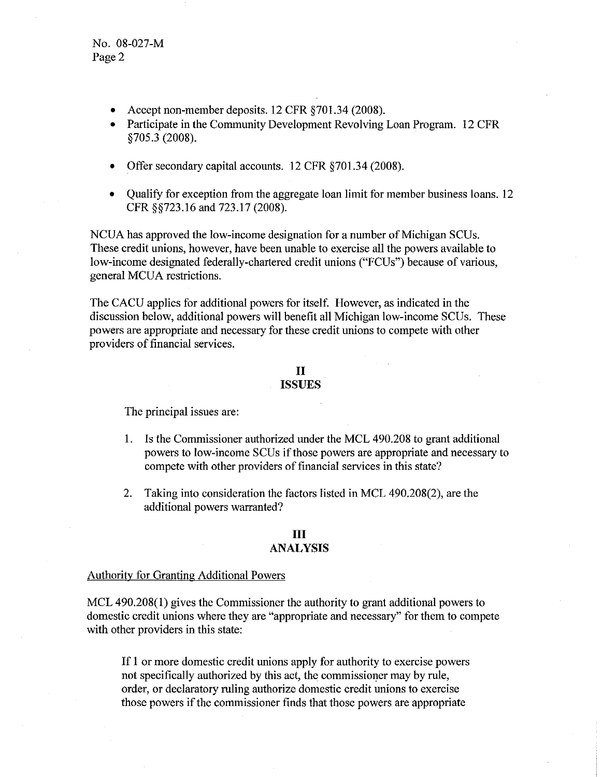No. 08-027-M Page 2

- Accept non-member deposits. 12 CFR §701.34 (2008).
- Participate in the Community Development Revolving Loan Program. 12 CFR §705.3 (2008).
- Offer secondary capital accounts. 12 CFR §701.34 (2008).
- Qualify for exception from the aggregate loan limit for member business loans. 12 CFR §§723.16 and 723.17 (2008).

NCUA has approved the low-income designation for a number of Michigan SCUs. These credit unions, however, have been unable to exercise all the powers available to low-income designated federally-chartered credit unions ("FCUs") because of various, general MCUA restrictions.

The CACU applies for additional powers for itself. However, as indicated in the discussion below, additional powers will benefit all Michigan low-income SCUs. These powers are appropriate and necessary for these credit unions to compete with other providers of financial services.

### II **ISSUES**

The principal issues are:

- 1. Is the Commissioner authorized under the MCL 490.208 to grant additional powers to low-income SCUs ifthose powers are appropriate and necessary to compete with other providers of financial services in this state?
- 2. Taking into consideration the factors listed in MCL 490.208(2), are the additional powers warranted?

# **III**

#### **ANALYSIS**

#### Authority for Granting Additional Powers

MCL 490.208(1) gives the Commissioner the authority to grant additional powers to domestic credit unions where they are "appropriate and necessary" for them to compete with other providers in this state:

If 1 or more domestic credit unions apply for authority to exercise powers not specifically authorized by this act, the commissioner may by rule, order, or declaratory ruling authorize domestic credit unions to exercise those powers if the commissioner finds that those powers are appropriate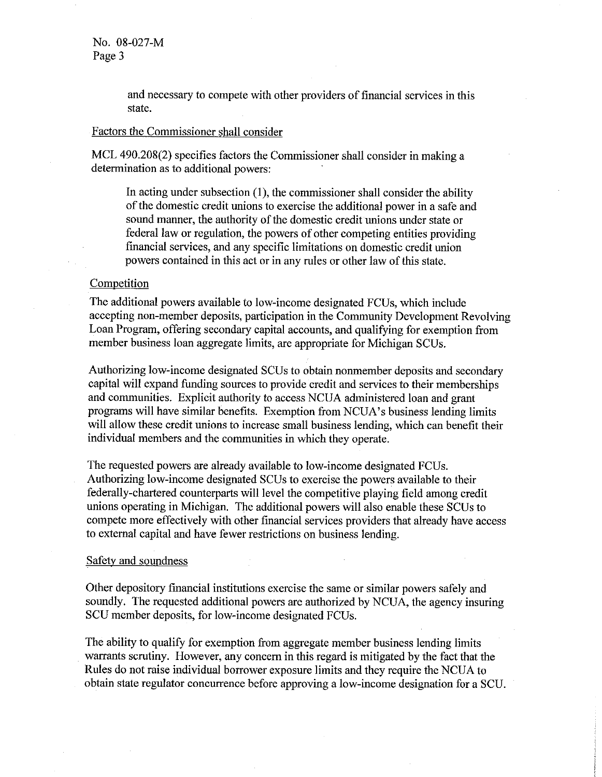and necessary to compete with other providers of financial services in this state.

### Factors the Commissioner shall consider

MCL 490.208(2) specifies factors the Commissioner shall consider in making a determination as to additional powers:

In acting under subsection (I), the commissioner shall consider the ability of the domestic credit unions to exercise the additional power in a safe and sound manner, the authority of the domestic credit unions under state or federal law or regulation, the powers of other competing entities providing financial services, and any specific limitations on domestic credit union powers contained in this act or in any rules or other law of this state.

# **Competition**

The additional powers available to low-income designated FCUs, which include accepting non-member deposits, participation in the Community Development Revolving Loan Program, offering secondary capital accounts, and qualifying for exemption from member business loan aggregate limits, are appropriate for Michigan SCUs.

Authorizing low-income designated SCUs to obtain nomnember deposits and secondary capital will expand funding sources to provide credit and services to their memberships and communities. Explicit authority to access NCUA administered loan and grant programs will have similar benefits. Exemption from NCUA's business lending limits will allow these credit unions to increase small business lending, which can benefit their individual members and the communities in which they operate.

The requested powers are already available to low-income designated FCUs. Authorizing low-income designated SCUs to exercise the powers available to their federally-chartered counterparts will level the competitive playing field among credit unions operating in Michigan. The additional powers will *also* enable these SCUs to compete more effectively with other financial services providers that already have access to external capital and have fewer restrictions on business lending.

#### Safety and soundness

Other depository financial institutions exercise the same or similar powers safely and soundly. The requested additional powers are authorized by NCUA, the agency insuring SCU member deposits, for low-income designated FCUs.

The ability to qualify for exemption from aggregate member business lending limits warrants scrutiny. However, any concern in this regard is mitigated by the fact that the Rules do not raise individual borrower exposure limits and they require the NCUA to obtain state regulator concurrence before approving a low-income designation for a SCU.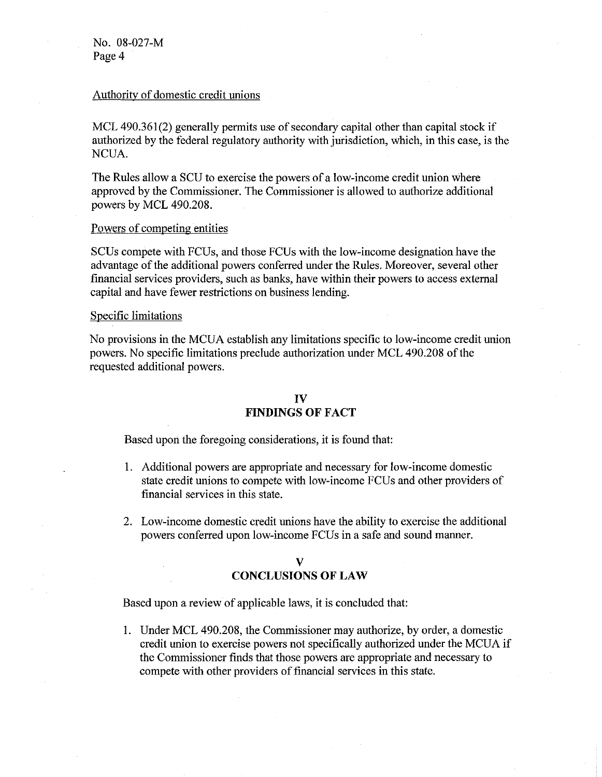No. 08-027-M Page 4

### Authority of domestic credit unions

MCL 490.361(2) generally permits use of secondary capital other than capital stock if authorized by the federal regulatory authority with jurisdiction, which, in this case, is the NCUA.

The Rules allow a SCU to exercise the powers of a low-income credit union where approved by the Commissioner. The Commissioner is allowed to authorize additional powers by MCL 490.208.

#### Powers of competing entities

SCUs compete with FCUs, and those FCUs with the low-income designation have the advantage of the additional powers conferred under the Rules. Moreover, several other financial services providers, such as banks, have within their powers to access external capital and have fewer restrictions on business lending.

#### Specific limitations

No provisions in the MCUA establish any limitations specific to low-income credit union powers. No specific limitations preclude authorization under MCL 490.208 of the requested additional powers.

# **IV FINDINGS OF FACT**

Based upon the foregoing considerations, it is found that:

- 1. Additional powers are appropriate and necessary for low-income domestic state credit unions to compete with low-income FCUs and other providers of financial services in this state.
- 2. Low-income domestic credit unions have the ability to exercise the additional powers conferred upon low-income FCUs in a safe and sound manner.

#### **V**

### **CONCLUSIONS OF LAW**

Based upon a review of applicable laws, it is concluded that:

1. Under MCL 490.208, the Commissioner may authorize, by order, a domestic credit union to exercise powers not specifically authorized under the MCUA if the Commissioner finds that those powers are appropriate and necessary to compete with other providers of financial services in this state.